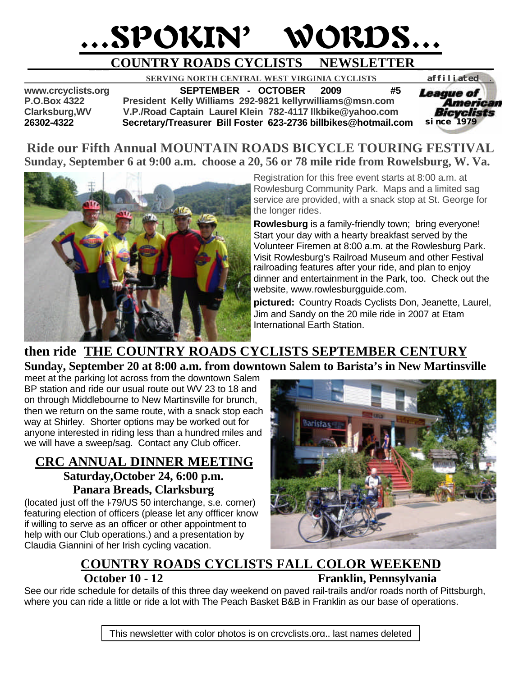# …SPOKIN' WORDS…

# **\_\_\_COUNTRY ROADS CYCLISTS NEWSLETTER \_ \_ \_\_ \_ \_**

 **SERVING NORTH CENTRAL WEST VIRGINIA CYCLISTS** *affiliated .* 

**www.crcyclists.org SEPTEMBER - OCTOBER 2009 #5 P.O.Box 4322 President Kelly Williams 292-9821 kellyrwilliams@msn.com Clarksburg,WV V.P./Road Captain Laurel Klein 782-4117 llkbike@yahoo.com 26302-4322 Secretary/Treasurer Bill Foster 623-2736 billbikes@hotmail.com** 



## **Ride our Fifth Annual MOUNTAIN ROADS BICYCLE TOURING FESTIVAL Sunday, September 6 at 9:00 a.m. choose a 20, 56 or 78 mile ride from Rowelsburg, W. Va.**



Registration for this free event starts at 8:00 a.m. at Rowlesburg Community Park. Maps and a limited sag service are provided, with a snack stop at St. George for the longer rides.

**Rowlesburg** is a family-friendly town; bring everyone! Start your day with a hearty breakfast served by the Volunteer Firemen at 8:00 a.m. at the Rowlesburg Park. Visit Rowlesburg's Railroad Museum and other Festival railroading features after your ride, and plan to enjoy dinner and entertainment in the Park, too. Check out the website, www.rowlesburgguide.com.

**pictured:** Country Roads Cyclists Don, Jeanette, Laurel, Jim and Sandy on the 20 mile ride in 2007 at Etam International Earth Station.

## **then ride THE COUNTRY ROADS CYCLISTS SEPTEMBER CENTURY Sunday, September 20 at 8:00 a.m. from downtown Salem to Barista's in New Martinsville**

meet at the parking lot across from the downtown Salem BP station and ride our usual route out WV 23 to 18 and on through Middlebourne to New Martinsville for brunch, then we return on the same route, with a snack stop each way at Shirley. Shorter options may be worked out for anyone interested in riding less than a hundred miles and we will have a sweep/sag. Contact any Club officer.

## **CRC ANNUAL DINNER MEETING Saturday,October 24, 6:00 p.m. Panara Breads, Clarksburg**

(located just off the I-79/US 50 interchange, s.e. corner) featuring election of officers (please let any offficer know if willing to serve as an officer or other appointment to help with our Club operations.) and a presentation by Claudia Giannini of her Irish cycling vacation.



# **COUNTRY ROADS CYCLISTS FALL COLOR WEEKEND October 10 - 12 Franklin, Pennsylvania**

See our ride schedule for details of this three day weekend on paved rail-trails and/or roads north of Pittsburgh, where you can ride a little or ride a lot with The Peach Basket B&B in Franklin as our base of operations.

This newsletter with color photos is on crcyclists.org,, last names deleted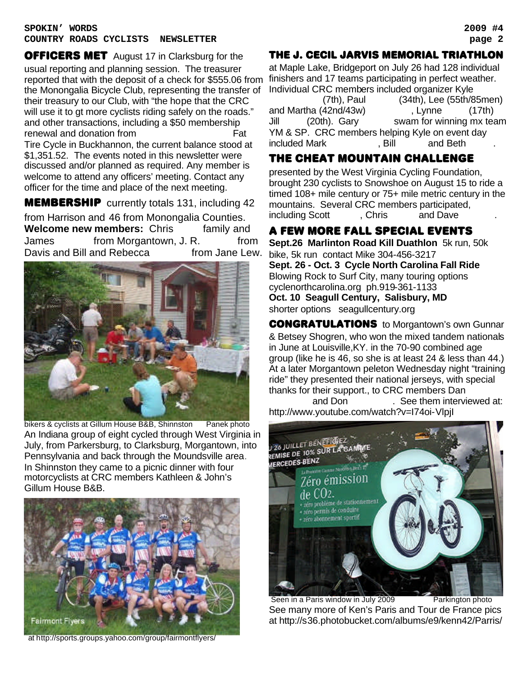#### **SPOKIN' WORDS 2009 #4 COUNTRY ROADS CYCLISTS NEWSLETTER page 2**

**OFFICERS MET** August 17 in Clarksburg for the usual reporting and planning session. The treasurer reported that with the deposit of a check for \$555.06 from the Monongalia Bicycle Club, representing the transfer of their treasury to our Club, with "the hope that the CRC will use it to gt more cyclists riding safely on the roads." and other transactions, including a \$50 membership renewal and donation from General Assemblance Sarah General Sarah General Sarah General Sarah General Sarah Ge Tire Cycle in Buckhannon, the current balance stood at \$1,351.52. The events noted in this newsletter were discussed and/or planned as required. Any member is welcome to attend any officers' meeting. Contact any officer for the time and place of the next meeting.

**MEMBERSHIP** currently totals 131, including 42 from Harrison and 46 from Monongalia Counties.

**Welcome new members:** Chris family and James from Morgantown, J. R. Petrs Davis and Bill and Rebecca from Jane Lew.



bikers & cyclists at Gillum House B&B, Shinnston Panek photo An Indiana group of eight cycled through West Virginia in July, from Parkersburg, to Clarksburg, Morgantown, into Pennsylvania and back through the Moundsville area. In Shinnston they came to a picnic dinner with four motorcyclists at CRC members Kathleen & John's Gillum House B&B.



at http://sports.groups.yahoo.com/group/fairmontflyers/

### The J. CECIL JARVIS MEMORIAL TRIATHLON

at Maple Lake, Bridgeport on July 26 had 128 individual finishers and 17 teams participating in perfect weather. Individual CRC members included organizer Kyle

 $(7th)$ , Paul  $(34th)$ , Lee  $(55th/85$ men) and Martha  $(42nd/43w)$ , Lynne  $(17th)$ Jill (20th). Gary swam for winning mx team YM & SP. CRC members helping Kyle on event day included Mark Coffindation Bill Foster and Beth and Beth Quinn.

## The cHEAT MOUNTAIN CHALLENGE

presented by the West Virginia Cycling Foundation, brought 230 cyclists to Snowshoe on August 15 to ride a timed 108+ mile century or 75+ mile metric century in the mountains. Several CRC members participated, including Scott Frame, Chris and Dave

## A FEW more FaLl SPECIAL EVENTS

**Sept.26 Marlinton Road Kill Duathlon** 5k run, 50k bike, 5k run contact Mike 304-456-3217 **Sept. 26 - Oct. 3 Cycle North Carolina Fall Ride** Blowing Rock to Surf City, many touring options cyclenorthcarolina.org ph.919-361-1133 **Oct. 10 Seagull Century, Salisbury, MD** shorter options seagullcentury.org

CONGRATULATIONS to Morgantown's own Gunnar & Betsey Shogren, who won the mixed tandem nationals in June at Louisville,KY. in the 70-90 combined age group (like he is 46, so she is at least 24 & less than 44.) At a later Morgantown peleton Wednesday night "training ride" they presented their national jerseys, with special thanks for their support., to CRC members Dan

and Don Bee them interviewed at: http://www.youtube.com/watch?v=I74oi-VlpjI



Seen in a Paris window in July 2009 Parkington photo See many more of Ken's Paris and Tour de France pics at http://s36.photobucket.com/albums/e9/kenn42/Parris/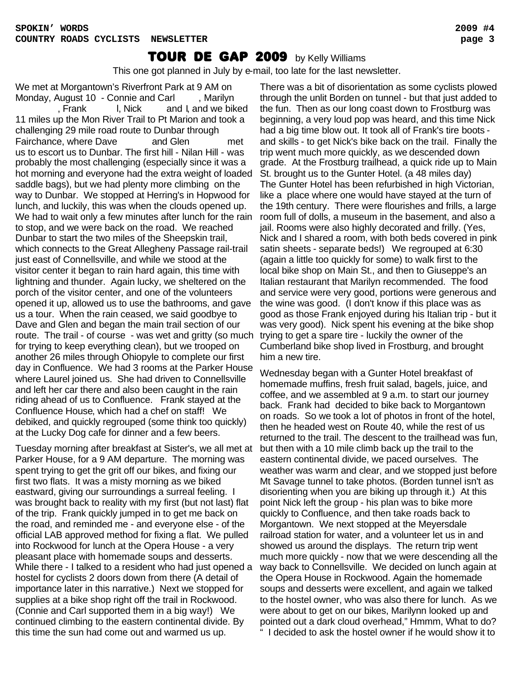This one got planned in July by e-mail, too late for the last newsletter.

We met at Morgantown's Riverfront Park at 9 AM on Monday, August 10 - Connie and Carl Franch Marilyn , Frank I, Nick and I, and we biked 11 miles up the Mon River Trail to Pt Marion and took a challenging 29 mile road route to Dunbar through Fairchance, where Dave and Glen Fairchance, where Dave and Glen us to escort us to Dunbar. The first hill - Nilan Hill - was probably the most challenging (especially since it was a hot morning and everyone had the extra weight of loaded saddle bags), but we had plenty more climbing on the way to Dunbar. We stopped at Herring's in Hopwood for lunch, and luckily, this was when the clouds opened up. We had to wait only a few minutes after lunch for the rain to stop, and we were back on the road. We reached Dunbar to start the two miles of the Sheepskin trail, which connects to the Great Allegheny Passage rail-trail just east of Connellsville, and while we stood at the visitor center it began to rain hard again, this time with lightning and thunder. Again lucky, we sheltered on the porch of the visitor center, and one of the volunteers opened it up, allowed us to use the bathrooms, and gave us a tour. When the rain ceased, we said goodbye to Dave and Glen and began the main trail section of our route. The trail - of course - was wet and gritty (so much trying to get a spare tire - luckily the owner of the for trying to keep everything clean), but we trooped on another 26 miles through Ohiopyle to complete our first day in Confluence. We had 3 rooms at the Parker House where Laurel joined us. She had driven to Connellsville and left her car there and also been caught in the rain riding ahead of us to Confluence. Frank stayed at the Confluence House, which had a chef on staff! We debiked, and quickly regrouped (some think too quickly) at the Lucky Dog cafe for dinner and a few beers.

Tuesday morning after breakfast at Sister's, we all met at Parker House, for a 9 AM departure. The morning was spent trying to get the grit off our bikes, and fixing our first two flats. It was a misty morning as we biked eastward, giving our surroundings a surreal feeling. I was brought back to reality with my first (but not last) flat of the trip. Frank quickly jumped in to get me back on the road, and reminded me - and everyone else - of the official LAB approved method for fixing a flat. We pulled into Rockwood for lunch at the Opera House - a very pleasant place with homemade soups and desserts. While there - I talked to a resident who had just opened a hostel for cyclists 2 doors down from there (A detail of importance later in this narrative.) Next we stopped for supplies at a bike shop right off the trail in Rockwood. (Connie and Carl supported them in a big way!) We continued climbing to the eastern continental divide. By this time the sun had come out and warmed us up.

There was a bit of disorientation as some cyclists plowed through the unlit Borden on tunnel - but that just added to the fun. Then as our long coast down to Frostburg was beginning, a very loud pop was heard, and this time Nick had a big time blow out. It took all of Frank's tire boots and skills - to get Nick's bike back on the trail. Finally the trip went much more quickly, as we descended down grade. At the Frostburg trailhead, a quick ride up to Main St. brought us to the Gunter Hotel. (a 48 miles day) The Gunter Hotel has been refurbished in high Victorian, like a place where one would have stayed at the turn of the 19th century. There were flourishes and frills, a large room full of dolls, a museum in the basement, and also a jail. Rooms were also highly decorated and frilly. (Yes, Nick and I shared a room, with both beds covered in pink satin sheets - separate beds!) We regrouped at 6:30 (again a little too quickly for some) to walk first to the local bike shop on Main St., and then to Giuseppe's an Italian restaurant that Marilyn recommended. The food and service were very good, portions were generous and the wine was good. (I don't know if this place was as good as those Frank enjoyed during his Italian trip - but it was very good). Nick spent his evening at the bike shop Cumberland bike shop lived in Frostburg, and brought him a new tire.

Wednesday began with a Gunter Hotel breakfast of homemade muffins, fresh fruit salad, bagels, juice, and coffee, and we assembled at 9 a.m. to start our journey back. Frank had decided to bike back to Morgantown on roads. So we took a lot of photos in front of the hotel, then he headed west on Route 40, while the rest of us returned to the trail. The descent to the trailhead was fun, but then with a 10 mile climb back up the trail to the eastern continental divide, we paced ourselves. The weather was warm and clear, and we stopped just before Mt Savage tunnel to take photos. (Borden tunnel isn't as disorienting when you are biking up through it.) At this point Nick left the group - his plan was to bike more quickly to Confluence, and then take roads back to Morgantown. We next stopped at the Meyersdale railroad station for water, and a volunteer let us in and showed us around the displays. The return trip went much more quickly - now that we were descending all the way back to Connellsville. We decided on lunch again at the Opera House in Rockwood. Again the homemade soups and desserts were excellent, and again we talked to the hostel owner, who was also there for lunch. As we were about to get on our bikes, Marilynn looked up and pointed out a dark cloud overhead," Hmmm, What to do? " I decided to ask the hostel owner if he would show it to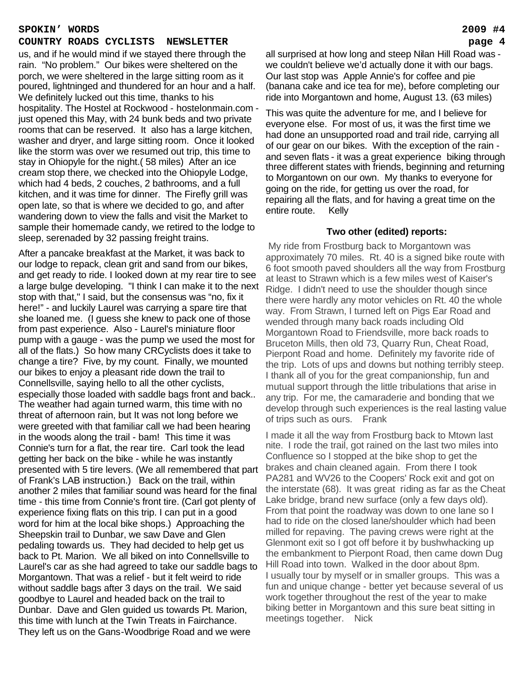#### **SPOKIN' WORDS 2009 #4**

#### **COUNTRY ROADS CYCLISTS NEWSLETTER page 4**

us, and if he would mind if we stayed there through the rain. "No problem." Our bikes were sheltered on the porch, we were sheltered in the large sitting room as it poured, lightninged and thundered for an hour and a half. We definitely lucked out this time, thanks to his hospitality. The Hostel at Rockwood - hostelonmain.com just opened this May, with 24 bunk beds and two private rooms that can be reserved. It also has a large kitchen, washer and dryer, and large sitting room. Once it looked like the storm was over we resumed out trip, this time to stay in Ohiopyle for the night.( 58 miles) After an ice cream stop there, we checked into the Ohiopyle Lodge, which had 4 beds, 2 couches, 2 bathrooms, and a full kitchen, and it was time for dinner. The Firefly grill was open late, so that is where we decided to go, and after wandering down to view the falls and visit the Market to sample their homemade candy, we retired to the lodge to sleep, serenaded by 32 passing freight trains.

After a pancake breakfast at the Market, it was back to our lodge to repack, clean grit and sand from our bikes, and get ready to ride. I looked down at my rear tire to see a large bulge developing. "I think I can make it to the next stop with that," I said, but the consensus was "no, fix it here!" - and luckily Laurel was carrying a spare tire that she loaned me. (I guess she knew to pack one of those from past experience. Also - Laurel's miniature floor pump with a gauge - was the pump we used the most for all of the flats.) So how many CRCyclists does it take to change a tire? Five, by my count. Finally, we mounted our bikes to enjoy a pleasant ride down the trail to Connellsville, saying hello to all the other cyclists, especially those loaded with saddle bags front and back.. The weather had again turned warm, this time with no threat of afternoon rain, but It was not long before we were greeted with that familiar call we had been hearing in the woods along the trail - bam! This time it was Connie's turn for a flat, the rear tire. Carl took the lead getting her back on the bike - while he was instantly presented with 5 tire levers. (We all remembered that part of Frank's LAB instruction.) Back on the trail, within another 2 miles that familiar sound was heard for the final time - this time from Connie's front tire. (Carl got plenty of experience fixing flats on this trip. I can put in a good word for him at the local bike shops.) Approaching the Sheepskin trail to Dunbar, we saw Dave and Glen pedaling towards us. They had decided to help get us back to Pt. Marion. We all biked on into Connellsville to Laurel's car as she had agreed to take our saddle bags to Morgantown. That was a relief - but it felt weird to ride without saddle bags after 3 days on the trail. We said goodbye to Laurel and headed back on the trail to Dunbar. Dave and Glen guided us towards Pt. Marion, this time with lunch at the Twin Treats in Fairchance. They left us on the Gans-Woodbrige Road and we were

all surprised at how long and steep Nilan Hill Road was we couldn't believe we'd actually done it with our bags. Our last stop was Apple Annie's for coffee and pie (banana cake and ice tea for me), before completing our ride into Morgantown and home, August 13. (63 miles)

This was quite the adventure for me, and I believe for everyone else. For most of us, it was the first time we had done an unsupported road and trail ride, carrying all of our gear on our bikes. With the exception of the rain and seven flats - it was a great experience biking through three different states with friends, beginning and returning to Morgantown on our own. My thanks to everyone for going on the ride, for getting us over the road, for repairing all the flats, and for having a great time on the entire route. Kelly

#### **Two other (edited) reports:**

My ride from Frostburg back to Morgantown was approximately 70 miles. Rt. 40 is a signed bike route with 6 foot smooth paved shoulders all the way from Frostburg at least to Strawn which is a few miles west of Kaiser's Ridge. I didn't need to use the shoulder though since there were hardly any motor vehicles on Rt. 40 the whole way. From Strawn, I turned left on Pigs Ear Road and wended through many back roads including Old Morgantown Road to Friendsville, more back roads to Bruceton Mills, then old 73, Quarry Run, Cheat Road, Pierpont Road and home. Definitely my favorite ride of the trip. Lots of ups and downs but nothing terribly steep. I thank all of you for the great companionship, fun and mutual support through the little tribulations that arise in any trip. For me, the camaraderie and bonding that we develop through such experiences is the real lasting value of trips such as ours. Frank

I made it all the way from Frostburg back to Mtown last nite. I rode the trail, got rained on the last two miles into Confluence so I stopped at the bike shop to get the brakes and chain cleaned again. From there I took PA281 and WV26 to the Coopers' Rock exit and got on the interstate (68). It was great riding as far as the Cheat Lake bridge, brand new surface (only a few days old). From that point the roadway was down to one lane so I had to ride on the closed lane/shoulder which had been milled for repaving. The paving crews were right at the Glenmont exit so I got off before it by bushwhacking up the embankment to Pierpont Road, then came down Dug Hill Road into town. Walked in the door about 8pm. I usually tour by myself or in smaller groups. This was a fun and unique change - better yet because several of us work together throughout the rest of the year to make biking better in Morgantown and this sure beat sitting in meetings together. Nick